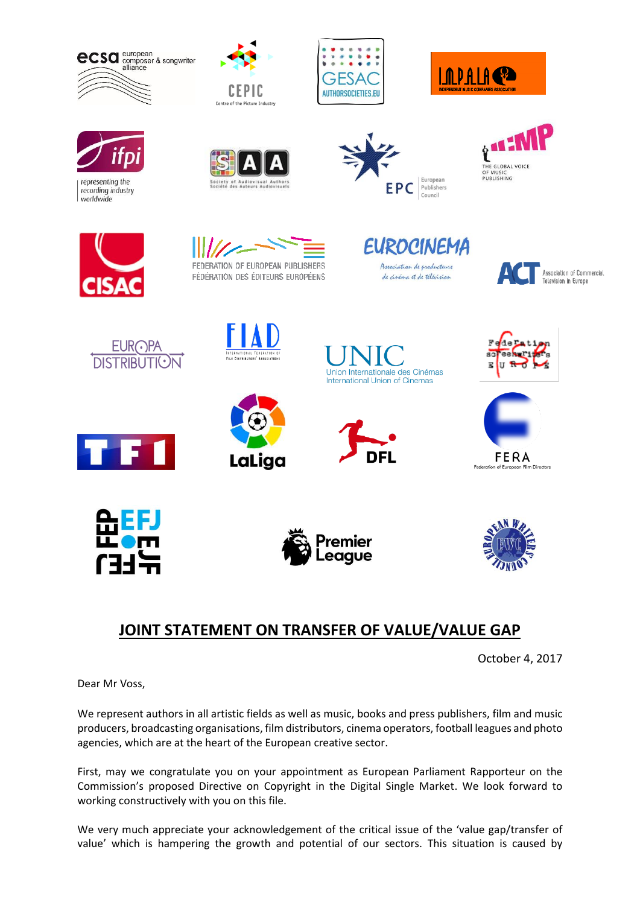









recording industry worldwide









FEDERATION OF EUROPEAN PUBLISHERS FÉDÉRATION DES ÉDITEURS EUROPÉENS

**EUROCINEMA** Association de producteurs de cinéma et de télévision



.<br>Association of Commercial Television in Europe





























## **JOINT STATEMENT ON TRANSFER OF VALUE/VALUE GAP**

October 4, 2017

Dear Mr Voss,

We represent authors in all artistic fields as well as music, books and press publishers, film and music producers, broadcasting organisations, film distributors, cinema operators, football leagues and photo agencies, which are at the heart of the European creative sector.

First, may we congratulate you on your appointment as European Parliament Rapporteur on the Commission's proposed Directive on Copyright in the Digital Single Market. We look forward to working constructively with you on this file.

We very much appreciate your acknowledgement of the critical issue of the 'value gap/transfer of value' which is hampering the growth and potential of our sectors. This situation is caused by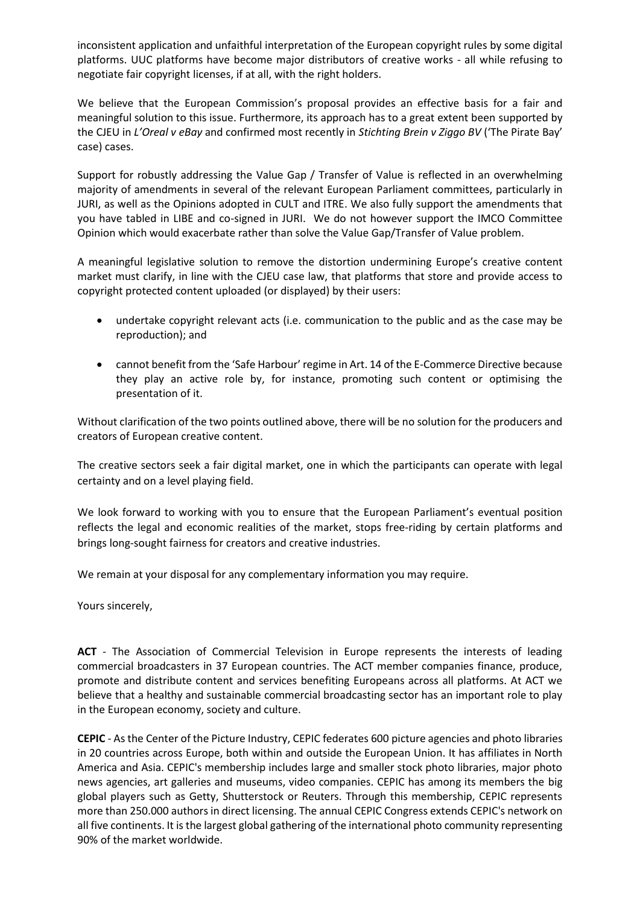inconsistent application and unfaithful interpretation of the European copyright rules by some digital platforms. UUC platforms have become major distributors of creative works - all while refusing to negotiate fair copyright licenses, if at all, with the right holders.

We believe that the European Commission's proposal provides an effective basis for a fair and meaningful solution to this issue. Furthermore, its approach has to a great extent been supported by the CJEU in *L'Oreal v eBay* and confirmed most recently in *Stichting Brein v Ziggo BV* ('The Pirate Bay' case) cases.

Support for robustly addressing the Value Gap / Transfer of Value is reflected in an overwhelming majority of amendments in several of the relevant European Parliament committees, particularly in JURI, as well as the Opinions adopted in CULT and ITRE. We also fully support the amendments that you have tabled in LIBE and co-signed in JURI. We do not however support the IMCO Committee Opinion which would exacerbate rather than solve the Value Gap/Transfer of Value problem.

A meaningful legislative solution to remove the distortion undermining Europe's creative content market must clarify, in line with the CJEU case law, that platforms that store and provide access to copyright protected content uploaded (or displayed) by their users:

- undertake copyright relevant acts (i.e. communication to the public and as the case may be reproduction); and
- cannot benefit from the 'Safe Harbour' regime in Art. 14 of the E-Commerce Directive because they play an active role by, for instance, promoting such content or optimising the presentation of it.

Without clarification of the two points outlined above, there will be no solution for the producers and creators of European creative content.

The creative sectors seek a fair digital market, one in which the participants can operate with legal certainty and on a level playing field.

We look forward to working with you to ensure that the European Parliament's eventual position reflects the legal and economic realities of the market, stops free-riding by certain platforms and brings long-sought fairness for creators and creative industries.

We remain at your disposal for any complementary information you may require.

Yours sincerely,

**ACT** - The Association of Commercial Television in Europe represents the interests of leading commercial broadcasters in 37 European countries. The ACT member companies finance, produce, promote and distribute content and services benefiting Europeans across all platforms. At ACT we believe that a healthy and sustainable commercial broadcasting sector has an important role to play in the European economy, society and culture.

**CEPIC** - As the Center of the Picture Industry, CEPIC federates 600 picture agencies and photo libraries in 20 countries across Europe, both within and outside the European Union. It has affiliates in North America and Asia. CEPIC's membership includes large and smaller stock photo libraries, major photo news agencies, art galleries and museums, video companies. CEPIC has among its members the big global players such as Getty, Shutterstock or Reuters. Through this membership, CEPIC represents more than 250.000 authors in direct licensing. The annual CEPIC Congress extends CEPIC's network on all five continents. It is the largest global gathering of the international photo community representing 90% of the market worldwide.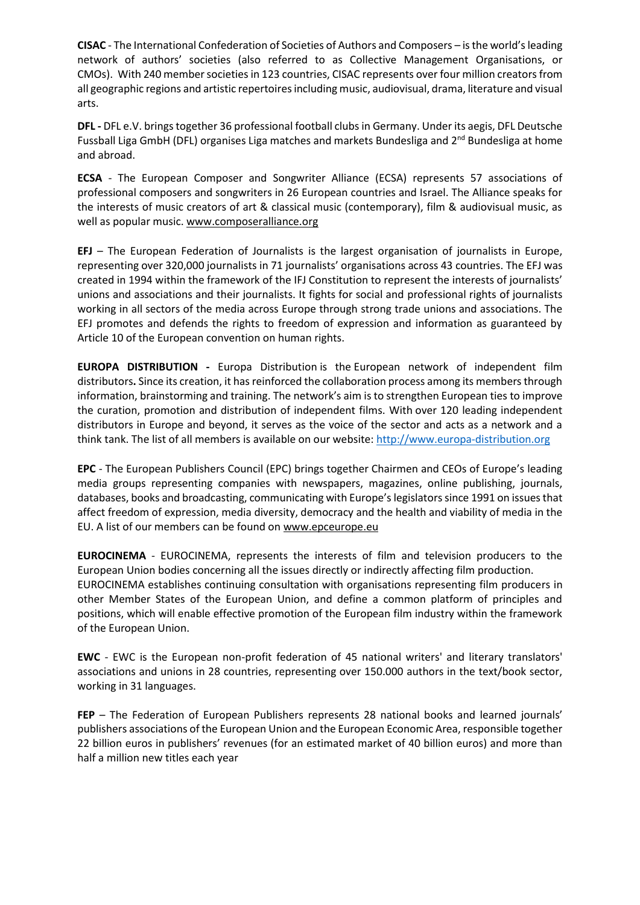**CISAC** - The International Confederation of Societies of Authors and Composers – is the world's leading network of authors' societies (also referred to as Collective Management Organisations, or CMOs). With 240 member societies in 123 countries, CISAC represents over four million creators from all geographic regions and artistic repertoires including music, audiovisual, drama, literature and visual arts.

**DFL -** DFL e.V. brings together 36 professional football clubs in Germany. Under its aegis, DFL Deutsche Fussball Liga GmbH (DFL) organises Liga matches and markets Bundesliga and  $2^{nd}$  Bundesliga at home and abroad.

**ECSA** - The European Composer and Songwriter Alliance (ECSA) represents 57 associations of professional composers and songwriters in 26 European countries and Israel. The Alliance speaks for the interests of music creators of art & classical music (contemporary), film & audiovisual music, as well as popular music[. www.composeralliance.org](http://www.composeralliance.org/)

**EFJ** – The European Federation of Journalists is the largest organisation of journalists in Europe, representing over 320,000 journalists in 71 journalists' organisations across 43 countries. The EFJ was created in 1994 within the framework of the IFJ Constitution to represent the interests of journalists' unions and associations and their journalists. It fights for social and professional rights of journalists working in all sectors of the media across Europe through strong trade unions and associations. The EFJ promotes and defends the rights to freedom of expression and information as guaranteed by Article 10 of the European convention on human rights.

**EUROPA DISTRIBUTION -** Europa Distribution is the European network of independent film distributors**.** Since its creation, it has reinforced the collaboration process among its members through information, brainstorming and training. The network's aim is to strengthen European ties to improve the curation, promotion and distribution of independent films. With over 120 leading independent distributors in Europe and beyond, it serves as the voice of the sector and acts as a network and a think tank. The list of all members is available on our website: [http://www.europa-distribution.org](http://www.europa-distribution.org/)

**EPC** - The European Publishers Council (EPC) brings together Chairmen and CEOs of Europe's leading media groups representing companies with newspapers, magazines, online publishing, journals, databases, books and broadcasting, communicating with Europe's legislators since 1991 on issues that affect freedom of expression, media diversity, democracy and the health and viability of media in the EU. A list of our members can be found o[n www.epceurope.eu](http://www.epceurope.eu/)

**EUROCINEMA** - EUROCINEMA, represents the interests of film and television producers to the European Union bodies concerning all the issues directly or indirectly affecting film production. EUROCINEMA establishes continuing consultation with organisations representing film producers in other Member States of the European Union, and define a common platform of principles and positions, which will enable effective promotion of the European film industry within the framework of the European Union.

**EWC** - EWC is the European non-profit federation of 45 national writers' and literary translators' associations and unions in 28 countries, representing over 150.000 authors in the text/book sector, working in 31 languages.

**FEP** – The Federation of European Publishers represents 28 national books and learned journals' publishers associations of the European Union and the European Economic Area, responsible together 22 billion euros in publishers' revenues (for an estimated market of 40 billion euros) and more than half a million new titles each year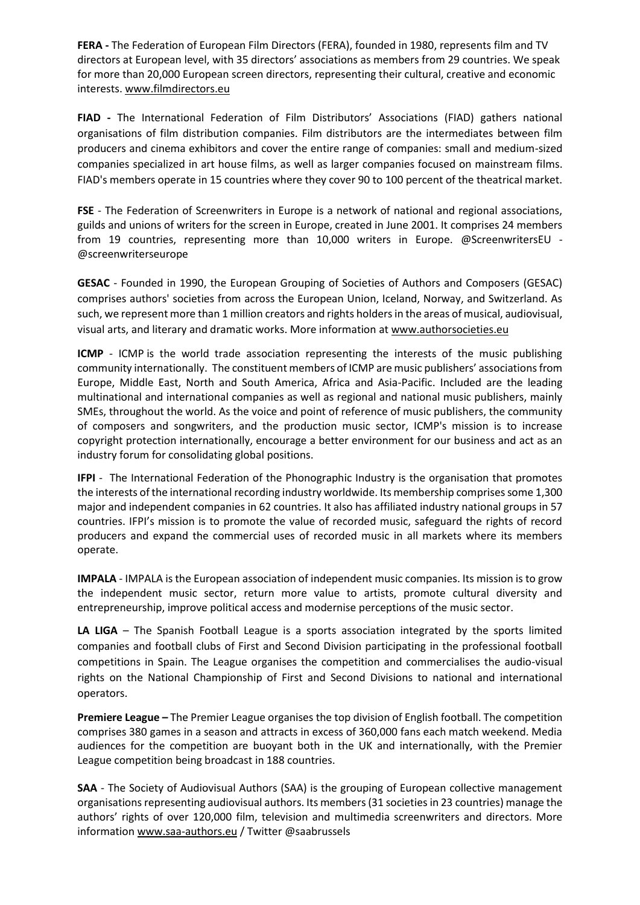**FERA -** The Federation of European Film Directors (FERA), founded in 1980, represents film and TV directors at European level, with 35 directors' associations as members from 29 countries. We speak for more than 20,000 European screen directors, representing their cultural, creative and economic interests[. www.filmdirectors.eu](http://www.filmdirectors.eu/)

**FIAD -** The International Federation of Film Distributors' Associations (FIAD) gathers national organisations of film distribution companies. Film distributors are the intermediates between film producers and cinema exhibitors and cover the entire range of companies: small and medium-sized companies specialized in art house films, as well as larger companies focused on mainstream films. FIAD's members operate in 15 countries where they cover 90 to 100 percent of the theatrical market.

**FSE** - The Federation of Screenwriters in Europe is a network of national and regional associations, guilds and unions of writers for the screen in Europe, created in June 2001. It comprises 24 members from 19 countries, representing more than 10,000 writers in Europe. @ScreenwritersEU - @screenwriterseurope

**GESAC** - Founded in 1990, the European Grouping of Societies of Authors and Composers (GESAC) comprises authors' societies from across the European Union, Iceland, Norway, and Switzerland. As such, we represent more than 1 million creators and rights holders in the areas of musical, audiovisual, visual arts, and literary and dramatic works. More information at [www.authorsocieties.eu](http://www.authorsocieties.eu/)

**ICMP** - ICMP is the world trade association representing the interests of the music publishing community internationally. The constituent members of ICMP are music publishers' associations from Europe, Middle East, North and South America, Africa and Asia-Pacific. Included are the leading multinational and international companies as well as regional and national music publishers, mainly SMEs, throughout the world. As the voice and point of reference of music publishers, the community of composers and songwriters, and the production music sector, ICMP's mission is to increase copyright protection internationally, encourage a better environment for our business and act as an industry forum for consolidating global positions.

**IFPI** - The International Federation of the Phonographic Industry is the organisation that promotes the interests of the international recording industry worldwide. Its membership comprises some 1,300 major and independent companies in 62 countries. It also has affiliated industry national groups in 57 countries. IFPI's mission is to promote the value of recorded music, safeguard the rights of record producers and expand the commercial uses of recorded music in all markets where its members operate.

**IMPALA** - IMPALA is the European association of independent music companies. Its mission is to grow the independent music sector, return more value to artists, promote cultural diversity and entrepreneurship, improve political access and modernise perceptions of the music sector.

**LA LIGA** – The Spanish Football League is a sports association integrated by the sports limited companies and football clubs of First and Second Division participating in the professional football competitions in Spain. The League organises the competition and commercialises the audio-visual rights on the National Championship of First and Second Divisions to national and international operators.

**Premiere League –** The Premier League organises the top division of English football. The competition comprises 380 games in a season and attracts in excess of 360,000 fans each match weekend. Media audiences for the competition are buoyant both in the UK and internationally, with the Premier League competition being broadcast in 188 countries.

**SAA** - The Society of Audiovisual Authors (SAA) is the grouping of European collective management organisations representing audiovisual authors. Its members (31 societies in 23 countries) manage the authors' rights of over 120,000 film, television and multimedia screenwriters and directors. More informatio[n www.saa-authors.eu](http://www.saa-authors.eu/) / Twitter @saabrussels